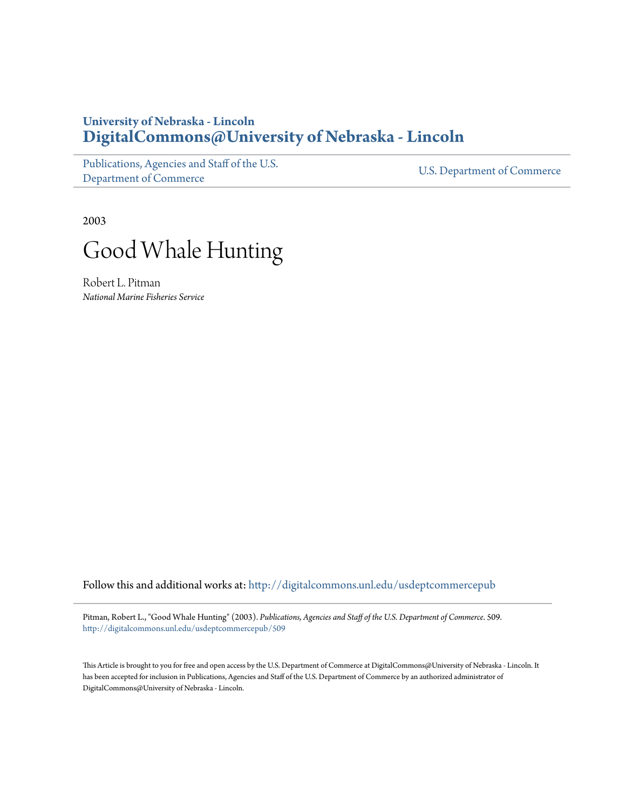## **University of Nebraska - Lincoln [DigitalCommons@University of Nebraska - Lincoln](http://digitalcommons.unl.edu?utm_source=digitalcommons.unl.edu%2Fusdeptcommercepub%2F509&utm_medium=PDF&utm_campaign=PDFCoverPages)**

[Publications, Agencies and Staff of the U.S.](http://digitalcommons.unl.edu/usdeptcommercepub?utm_source=digitalcommons.unl.edu%2Fusdeptcommercepub%2F509&utm_medium=PDF&utm_campaign=PDFCoverPages) [Department of Commerce](http://digitalcommons.unl.edu/usdeptcommercepub?utm_source=digitalcommons.unl.edu%2Fusdeptcommercepub%2F509&utm_medium=PDF&utm_campaign=PDFCoverPages)

[U.S. Department of Commerce](http://digitalcommons.unl.edu/usdeptcommerce?utm_source=digitalcommons.unl.edu%2Fusdeptcommercepub%2F509&utm_medium=PDF&utm_campaign=PDFCoverPages)

2003



Robert L. Pitman *National Marine Fisheries Service*

Follow this and additional works at: [http://digitalcommons.unl.edu/usdeptcommercepub](http://digitalcommons.unl.edu/usdeptcommercepub?utm_source=digitalcommons.unl.edu%2Fusdeptcommercepub%2F509&utm_medium=PDF&utm_campaign=PDFCoverPages)

Pitman, Robert L., "Good Whale Hunting" (2003). *Publications, Agencies and Staff of the U.S. Department of Commerce*. 509. [http://digitalcommons.unl.edu/usdeptcommercepub/509](http://digitalcommons.unl.edu/usdeptcommercepub/509?utm_source=digitalcommons.unl.edu%2Fusdeptcommercepub%2F509&utm_medium=PDF&utm_campaign=PDFCoverPages)

This Article is brought to you for free and open access by the U.S. Department of Commerce at DigitalCommons@University of Nebraska - Lincoln. It has been accepted for inclusion in Publications, Agencies and Staff of the U.S. Department of Commerce by an authorized administrator of DigitalCommons@University of Nebraska - Lincoln.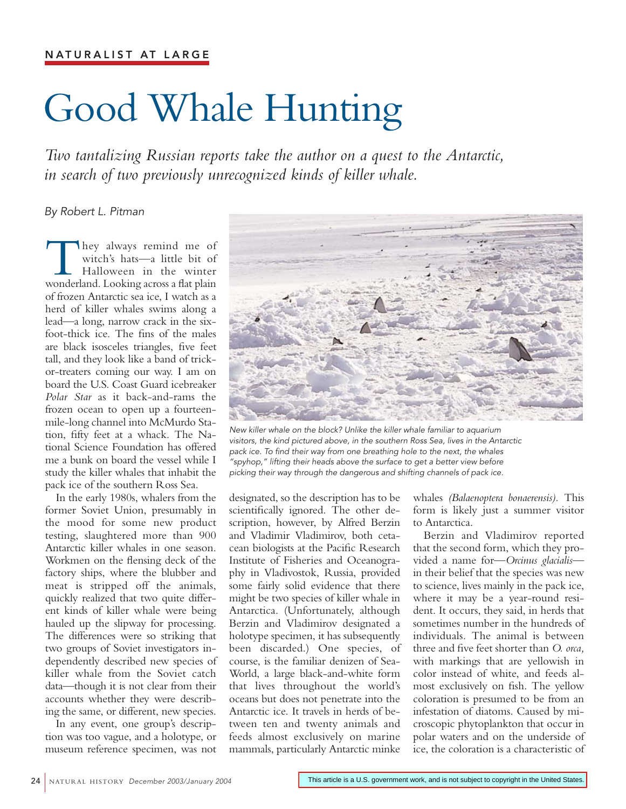## Good Whale Hunting

*Two tantalizing Russian reports take the author on a quest to the Antarctic, in search of two previously unrecognized kinds of killer whale.*

## *By Robert L. Pitman*

They always remind me of<br>witch's hats—a little bit of<br>Halloween in the winter<br>wonderland. Looking across a flat plain witch's hats—a little bit of Halloween in the winter of frozen Antarctic sea ice, I watch as a herd of killer whales swims along a lead—a long, narrow crack in the sixfoot-thick ice. The fins of the males are black isosceles triangles, five feet tall, and they look like a band of trickor-treaters coming our way. I am on board the U.S. Coast Guard icebreaker *Polar Star* as it back-and-rams the frozen ocean to open up a fourteenmile-long channel into McMurdo Station, fifty feet at a whack. The National Science Foundation has offered me a bunk on board the vessel while I study the killer whales that inhabit the pack ice of the southern Ross Sea.

In the early 1980s, whalers from the former Soviet Union, presumably in the mood for some new product testing, slaughtered more than 900 Antarctic killer whales in one season. Workmen on the flensing deck of the factory ships, where the blubber and meat is stripped off the animals, quickly realized that two quite different kinds of killer whale were being hauled up the slipway for processing. The differences were so striking that two groups of Soviet investigators independently described new species of killer whale from the Soviet catch data—though it is not clear from their accounts whether they were describing the same, or different, new species.

In any event, one group's description was too vague, and a holotype, or museum reference specimen, was not



*New killer whale on the block? Unlike the killer whale familiar to aquarium visitors, the kind pictured above, in the southern Ross Sea, lives in the Antarctic pack ice. To find their way from one breathing hole to the next, the whales "spyhop," lifting their heads above the surface to get a better view before picking their way through the dangerous and shifting channels of pack ice.* 

designated, so the description has to be scientifically ignored. The other description, however, by Alfred Berzin and Vladimir Vladimirov, both cetacean biologists at the Pacific Research Institute of Fisheries and Oceanography in Vladivostok, Russia, provided some fairly solid evidence that there might be two species of killer whale in Antarctica. (Unfortunately, although Berzin and Vladimirov designated a holotype specimen, it has subsequently been discarded.) One species, of course, is the familiar denizen of Sea-World, a large black-and-white form that lives throughout the world's oceans but does not penetrate into the Antarctic ice. It travels in herds of between ten and twenty animals and feeds almost exclusively on marine mammals, particularly Antarctic minke

whales *(Balaenoptera bonaerensis).* This form is likely just a summer visitor to Antarctica.

Berzin and Vladimirov reported that the second form, which they provided a name for—*Orcinus glacialis* in their belief that the species was new to science, lives mainly in the pack ice, where it may be a year-round resident. It occurs, they said, in herds that sometimes number in the hundreds of individuals. The animal is between three and five feet shorter than *O. orca,* with markings that are yellowish in color instead of white, and feeds almost exclusively on fish. The yellow coloration is presumed to be from an infestation of diatoms. Caused by microscopic phytoplankton that occur in polar waters and on the underside of ice, the coloration is a characteristic of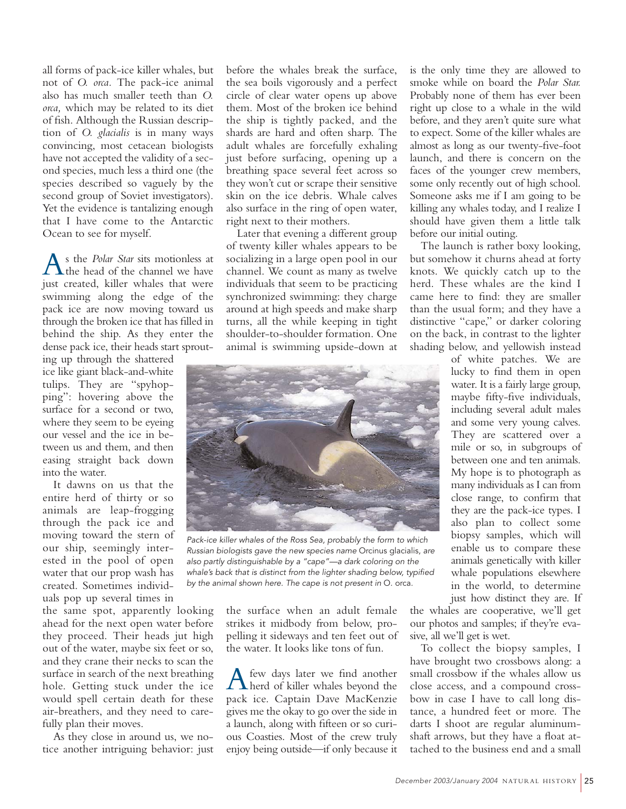all forms of pack-ice killer whales, but not of *O. orca.* The pack-ice animal also has much smaller teeth than *O. orca,* which may be related to its diet of fish. Although the Russian description of *O. glacialis* is in many ways convincing, most cetacean biologists have not accepted the validity of a second species, much less a third one (the species described so vaguely by the second group of Soviet investigators). Yet the evidence is tantalizing enough that I have come to the Antarctic Ocean to see for myself.

As the *Polar Star* sits motionless at<br>the head of the channel we have just created, killer whales that were swimming along the edge of the pack ice are now moving toward us through the broken ice that has filled in behind the ship. As they enter the dense pack ice, their heads start sprout-

ing up through the shattered ice like giant black-and-white tulips. They are "spyhopping": hovering above the surface for a second or two, where they seem to be eyeing our vessel and the ice in between us and them, and then easing straight back down into the water.

It dawns on us that the entire herd of thirty or so animals are leap-frogging through the pack ice and moving toward the stern of our ship, seemingly interested in the pool of open water that our prop wash has created. Sometimes individuals pop up several times in

the same spot, apparently looking ahead for the next open water before they proceed. Their heads jut high out of the water, maybe six feet or so, and they crane their necks to scan the surface in search of the next breathing hole. Getting stuck under the ice would spell certain death for these air-breathers, and they need to carefully plan their moves.

As they close in around us, we notice another intriguing behavior: just before the whales break the surface, the sea boils vigorously and a perfect circle of clear water opens up above them. Most of the broken ice behind the ship is tightly packed, and the shards are hard and often sharp. The adult whales are forcefully exhaling just before surfacing, opening up a breathing space several feet across so they won't cut or scrape their sensitive skin on the ice debris. Whale calves also surface in the ring of open water, right next to their mothers.

Later that evening a different group of twenty killer whales appears to be socializing in a large open pool in our channel. We count as many as twelve individuals that seem to be practicing synchronized swimming: they charge around at high speeds and make sharp turns, all the while keeping in tight shoulder-to-shoulder formation. One animal is swimming upside-down at



*Pack-ice killer whales of the Ross Sea, probably the form to which Russian biologists gave the new species name* Orcinus glacialis, *are also partly distinguishable by a "cape"—a dark coloring on the whale's back that is distinct from the lighter shading below, typified by the animal shown here. The cape is not present in* O. orca.

the surface when an adult female strikes it midbody from below, propelling it sideways and ten feet out of the water. It looks like tons of fun.

A few days later we find another<br>herd of killer whales beyond the pack ice. Captain Dave MacKenzie gives me the okay to go over the side in a launch, along with fifteen or so curious Coasties. Most of the crew truly enjoy being outside—if only because it

is the only time they are allowed to smoke while on board the *Polar Star.* Probably none of them has ever been right up close to a whale in the wild before, and they aren't quite sure what to expect. Some of the killer whales are almost as long as our twenty-five-foot launch, and there is concern on the faces of the younger crew members, some only recently out of high school. Someone asks me if I am going to be killing any whales today, and I realize I should have given them a little talk before our initial outing.

The launch is rather boxy looking, but somehow it churns ahead at forty knots. We quickly catch up to the herd. These whales are the kind I came here to find: they are smaller than the usual form; and they have a distinctive "cape," or darker coloring on the back, in contrast to the lighter shading below, and yellowish instead

> of white patches. We are lucky to find them in open water. It is a fairly large group, maybe fifty-five individuals, including several adult males and some very young calves. They are scattered over a mile or so, in subgroups of between one and ten animals. My hope is to photograph as many individuals as I can from close range, to confirm that they are the pack-ice types. I also plan to collect some biopsy samples, which will enable us to compare these animals genetically with killer whale populations elsewhere in the world, to determine just how distinct they are. If

the whales are cooperative, we'll get our photos and samples; if they're evasive, all we'll get is wet.

To collect the biopsy samples, I have brought two crossbows along: a small crossbow if the whales allow us close access, and a compound crossbow in case I have to call long distance, a hundred feet or more. The darts I shoot are regular aluminumshaft arrows, but they have a float attached to the business end and a small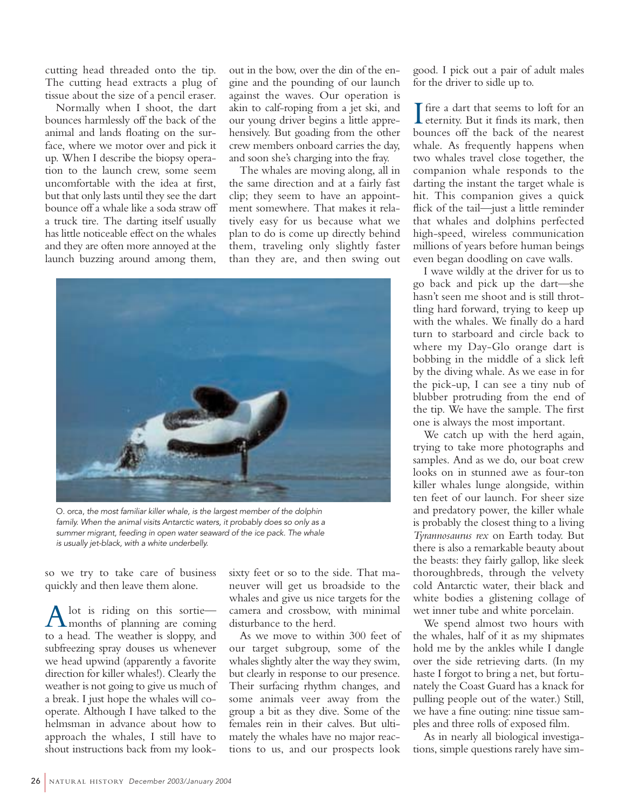cutting head threaded onto the tip. The cutting head extracts a plug of tissue about the size of a pencil eraser.

Normally when I shoot, the dart bounces harmlessly off the back of the animal and lands floating on the surface, where we motor over and pick it up. When I describe the biopsy operation to the launch crew, some seem uncomfortable with the idea at first, but that only lasts until they see the dart bounce off a whale like a soda straw off a truck tire. The darting itself usually has little noticeable effect on the whales and they are often more annoyed at the launch buzzing around among them,

out in the bow, over the din of the engine and the pounding of our launch against the waves. Our operation is akin to calf-roping from a jet ski, and our young driver begins a little apprehensively. But goading from the other crew members onboard carries the day, and soon she's charging into the fray.

The whales are moving along, all in the same direction and at a fairly fast clip; they seem to have an appointment somewhere. That makes it relatively easy for us because what we plan to do is come up directly behind them, traveling only slightly faster than they are, and then swing out



O. orca, *the most familiar killer whale, is the largest member of the dolphin family. When the animal visits Antarctic waters, it probably does so only as a summer migrant, feeding in open water seaward of the ice pack. The whale is usually jet-black, with a white underbelly.*

so we try to take care of business quickly and then leave them alone.

A lot is riding on this sortie—<br>months of planning are coming to a head. The weather is sloppy, and subfreezing spray douses us whenever we head upwind (apparently a favorite direction for killer whales!). Clearly the weather is not going to give us much of a break. I just hope the whales will cooperate. Although I have talked to the helmsman in advance about how to approach the whales, I still have to shout instructions back from my looksixty feet or so to the side. That maneuver will get us broadside to the whales and give us nice targets for the camera and crossbow, with minimal disturbance to the herd.

As we move to within 300 feet of our target subgroup, some of the whales slightly alter the way they swim, but clearly in response to our presence. Their surfacing rhythm changes, and some animals veer away from the group a bit as they dive. Some of the females rein in their calves. But ultimately the whales have no major reactions to us, and our prospects look

good. I pick out a pair of adult males for the driver to sidle up to.

 $\prod$  fire a dart that seems to loft for an eternity. But it finds its mark, then fire a dart that seems to loft for an bounces off the back of the nearest whale. As frequently happens when two whales travel close together, the companion whale responds to the darting the instant the target whale is hit. This companion gives a quick flick of the tail—just a little reminder that whales and dolphins perfected high-speed, wireless communication millions of years before human beings even began doodling on cave walls.

I wave wildly at the driver for us to go back and pick up the dart—she hasn't seen me shoot and is still throttling hard forward, trying to keep up with the whales. We finally do a hard turn to starboard and circle back to where my Day-Glo orange dart is bobbing in the middle of a slick left by the diving whale. As we ease in for the pick-up, I can see a tiny nub of blubber protruding from the end of the tip. We have the sample. The first one is always the most important.

We catch up with the herd again, trying to take more photographs and samples. And as we do, our boat crew looks on in stunned awe as four-ton killer whales lunge alongside, within ten feet of our launch. For sheer size and predatory power, the killer whale is probably the closest thing to a living *Tyrannosaurus rex* on Earth today. But there is also a remarkable beauty about the beasts: they fairly gallop, like sleek thoroughbreds, through the velvety cold Antarctic water, their black and white bodies a glistening collage of wet inner tube and white porcelain.

We spend almost two hours with the whales, half of it as my shipmates hold me by the ankles while I dangle over the side retrieving darts. (In my haste I forgot to bring a net, but fortunately the Coast Guard has a knack for pulling people out of the water.) Still, we have a fine outing: nine tissue samples and three rolls of exposed film.

As in nearly all biological investigations, simple questions rarely have sim-